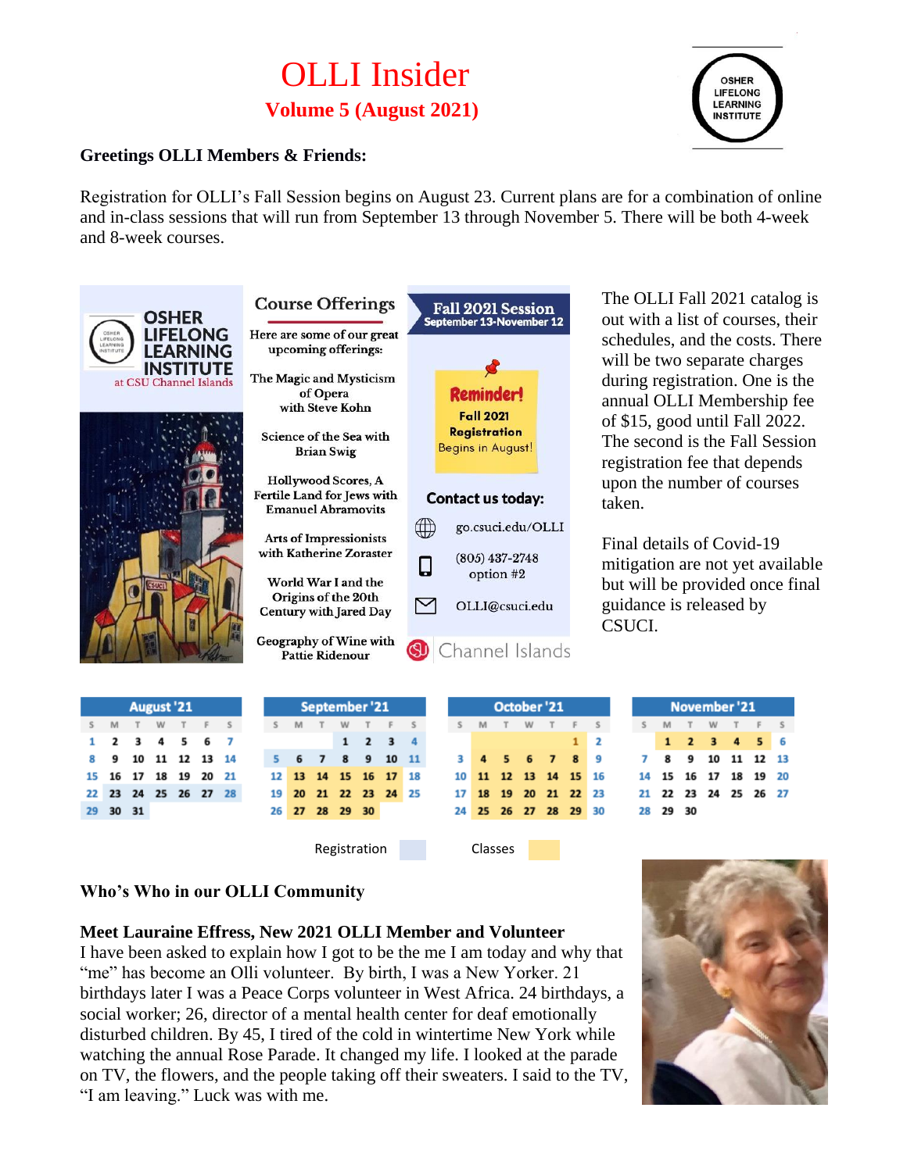# OLLI Insider **Volume 5 (August 2021)**



#### **Greetings OLLI Members & Friends:**

Registration for OLLI's Fall Session begins on August 23. Current plans are for a combination of online and in-class sessions that will run from September 13 through November 5. There will be both 4-week and 8-week courses.



The OLLI Fall 2021 catalog is out with a list of courses, their schedules, and the costs. There will be two separate charges during registration. One is the annual OLLI Membership fee of \$15, good until Fall 2022. The second is the Fall Session registration fee that depends upon the number of courses taken.

Final details of Covid-19 mitigation are not yet available but will be provided once final guidance is released by CSUCI.

| <b>August '21</b> |          |  |  |  |                      |  |  |  |
|-------------------|----------|--|--|--|----------------------|--|--|--|
|                   |          |  |  |  | S M T W T F S        |  |  |  |
|                   |          |  |  |  | 1 2 3 4 5 6 7        |  |  |  |
|                   |          |  |  |  | 8 9 10 11 12 13 14   |  |  |  |
|                   |          |  |  |  | 15 16 17 18 19 20 21 |  |  |  |
|                   |          |  |  |  | 22 23 24 25 26 27 28 |  |  |  |
|                   | 29 30 31 |  |  |  |                      |  |  |  |

| September '21 |                      |     |  |                     |   |      |  |
|---------------|----------------------|-----|--|---------------------|---|------|--|
| S             | M                    | T W |  | T                   | F |      |  |
|               |                      |     |  | $1 \quad 2 \quad 3$ |   | - 4  |  |
|               | 5 6 7 8 9 10         |     |  |                     |   | - 11 |  |
|               | 12 13 14 15 16 17 18 |     |  |                     |   |      |  |
|               | 19 20 21 22 23 24 25 |     |  |                     |   |      |  |
|               | 26 27 28 29 30       |     |  |                     |   |      |  |
|               |                      |     |  |                     |   |      |  |

Registration Classes

3 10

17

24

|   | October <sup>'21</sup> |   |   |   |
|---|------------------------|---|---|---|
| M | T                      | W | F | s |
|   |                        |   |   | 2 |
|   | 4 5 6 7 8              |   |   | 9 |
|   | 11 12 13 14 15 16      |   |   |   |
|   | 18 19 20 21 22 23      |   |   |   |
|   | 25 26 27 28 29 30      |   |   |   |
|   |                        |   |   |   |
|   |                        |   |   |   |

| November '21 |                      |  |  |  |  |  |  |
|--------------|----------------------|--|--|--|--|--|--|
|              | SMTWTFS              |  |  |  |  |  |  |
|              | 1 2 3 4 5 6          |  |  |  |  |  |  |
|              | 7 8 9 10 11 12 13    |  |  |  |  |  |  |
|              | 14 15 16 17 18 19 20 |  |  |  |  |  |  |
|              | 21 22 23 24 25 26 27 |  |  |  |  |  |  |
|              | 28 29 30             |  |  |  |  |  |  |
|              |                      |  |  |  |  |  |  |

#### **Who's Who in our OLLI Community**

#### **Meet Lauraine Effress, New 2021 OLLI Member and Volunteer**

I have been asked to explain how I got to be the me I am today and why that "me" has become an Olli volunteer. By birth, I was a New Yorker. 21 birthdays later I was a Peace Corps volunteer in West Africa. 24 birthdays, a social worker; 26, director of a mental health center for deaf emotionally disturbed children. By 45, I tired of the cold in wintertime New York while watching the annual Rose Parade. It changed my life. I looked at the parade on TV, the flowers, and the people taking off their sweaters. I said to the TV, "I am leaving." Luck was with me.

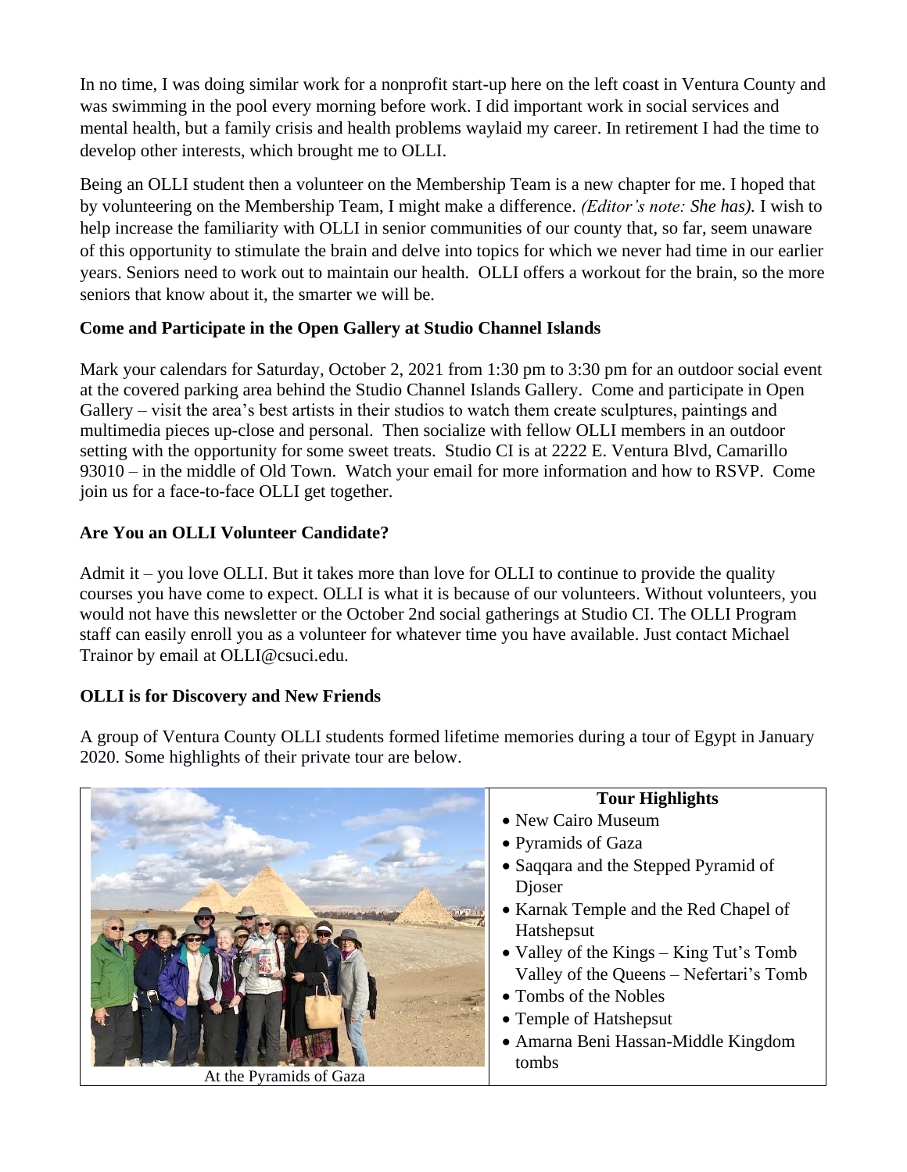In no time, I was doing similar work for a nonprofit start-up here on the left coast in Ventura County and was swimming in the pool every morning before work. I did important work in social services and mental health, but a family crisis and health problems waylaid my career. In retirement I had the time to develop other interests, which brought me to OLLI.

Being an OLLI student then a volunteer on the Membership Team is a new chapter for me. I hoped that by volunteering on the Membership Team, I might make a difference. *(Editor's note: She has).* I wish to help increase the familiarity with OLLI in senior communities of our county that, so far, seem unaware of this opportunity to stimulate the brain and delve into topics for which we never had time in our earlier years. Seniors need to work out to maintain our health. OLLI offers a workout for the brain, so the more seniors that know about it, the smarter we will be.

### **Come and Participate in the Open Gallery at Studio Channel Islands**

Mark your calendars for Saturday, October 2, 2021 from 1:30 pm to 3:30 pm for an outdoor social event at the covered parking area behind the Studio Channel Islands Gallery. Come and participate in Open Gallery – visit the area's best artists in their studios to watch them create sculptures, paintings and multimedia pieces up-close and personal. Then socialize with fellow OLLI members in an outdoor setting with the opportunity for some sweet treats. Studio CI is at 2222 E. Ventura Blvd, Camarillo 93010 – in the middle of Old Town. Watch your email for more information and how to RSVP. Come join us for a face-to-face OLLI get together.

## **Are You an OLLI Volunteer Candidate?**

Admit it – you love OLLI. But it takes more than love for OLLI to continue to provide the quality courses you have come to expect. OLLI is what it is because of our volunteers. Without volunteers, you would not have this newsletter or the October 2nd social gatherings at Studio CI. The OLLI Program staff can easily enroll you as a volunteer for whatever time you have available. Just contact Michael Trainor by email at OLLI@csuci.edu.

## **OLLI is for Discovery and New Friends**

A group of Ventura County OLLI students formed lifetime memories during a tour of Egypt in January 2020. Some highlights of their private tour are below.